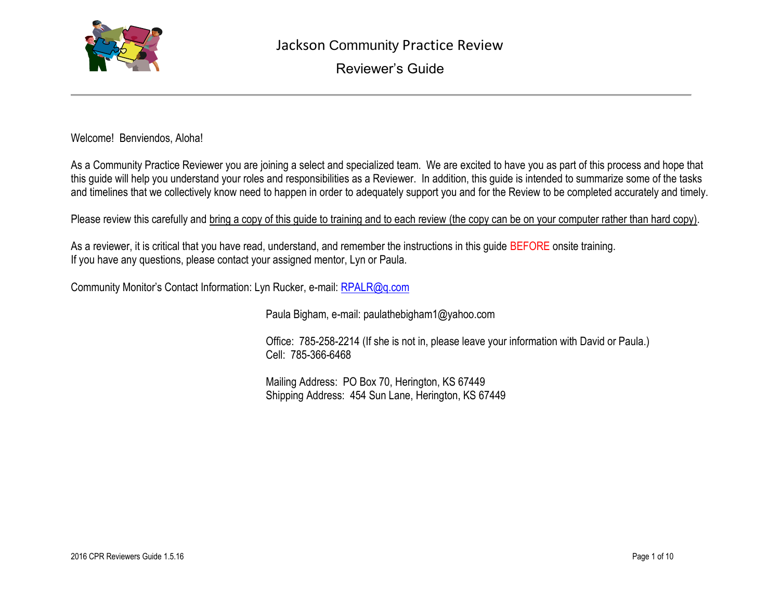

Welcome! Benviendos, Aloha!

As a Community Practice Reviewer you are joining a select and specialized team. We are excited to have you as part of this process and hope that this guide will help you understand your roles and responsibilities as a Reviewer. In addition, this guide is intended to summarize some of the tasks and timelines that we collectively know need to happen in order to adequately support you and for the Review to be completed accurately and timely.

Please review this carefully and bring a copy of this guide to training and to each review (the copy can be on your computer rather than hard copy).

As a reviewer, it is critical that you have read, understand, and remember the instructions in this quide BEFORE onsite training. If you have any questions, please contact your assigned mentor, Lyn or Paula.

Community Monitor's Contact Information: Lyn Rucker, e-mail: [RPALR@q.com](mailto:RPALR@q.com)

Paula Bigham, e-mail: paulathebigham1@yahoo.com

Office: 785-258-2214 (If she is not in, please leave your information with David or Paula.) Cell: 785-366-6468

Mailing Address: PO Box 70, Herington, KS 67449 Shipping Address: 454 Sun Lane, Herington, KS 67449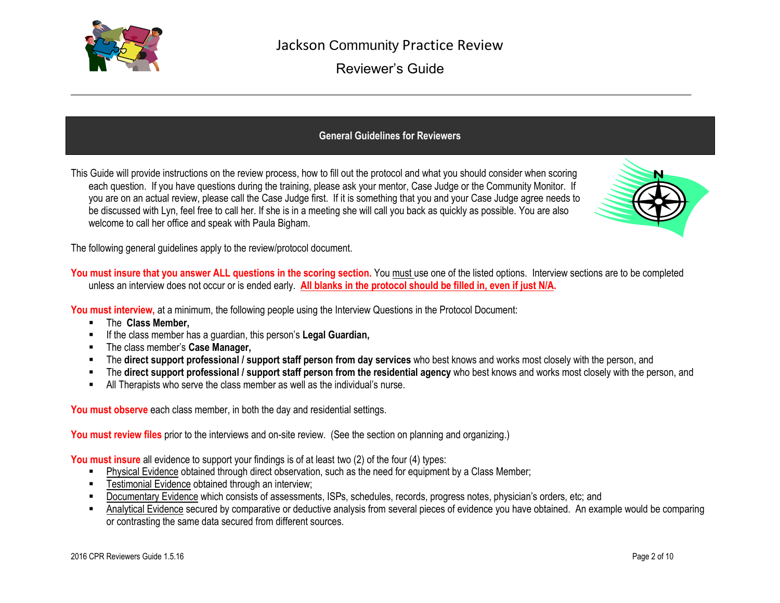

## **General Guidelines for Reviewers**

This Guide will provide instructions on the review process, how to fill out the protocol and what you should consider when scoring each question. If you have questions during the training, please ask your mentor, Case Judge or the Community Monitor. If you are on an actual review, please call the Case Judge first. If it is something that you and your Case Judge agree needs to be discussed with Lyn, feel free to call her. If she is in a meeting she will call you back as quickly as possible. You are also welcome to call her office and speak with Paula Bigham.



The following general guidelines apply to the review/protocol document.

**You must insure that you answer ALL questions in the scoring section.** You must use one of the listed options. Interview sections are to be completed unless an interview does not occur or is ended early. **All blanks in the protocol should be filled in, even if just N/A.**

**You must interview,** at a minimum, the following people using the Interview Questions in the Protocol Document:

- The **Class Member,**
- If the class member has a guardian, this person's **Legal Guardian,**
- The class member's **Case Manager,**
- The **direct support professional / support staff person from day services** who best knows and works most closely with the person, and
- The **direct support professional / support staff person from the residential agency** who best knows and works most closely with the person, and
- All Therapists who serve the class member as well as the individual's nurse.

**You must observe** each class member, in both the day and residential settings.

**You must review files** prior to the interviews and on-site review. (See the section on planning and organizing.)

**You must insure** all evidence to support your findings is of at least two (2) of the four (4) types:

- **Physical Evidence obtained through direct observation, such as the need for equipment by a Class Member;**
- **FILE** Testimonial Evidence obtained through an interview;
- Documentary Evidence which consists of assessments, ISPs, schedules, records, progress notes, physician's orders, etc; and
- Analytical Evidence secured by comparative or deductive analysis from several pieces of evidence you have obtained. An example would be comparing or contrasting the same data secured from different sources.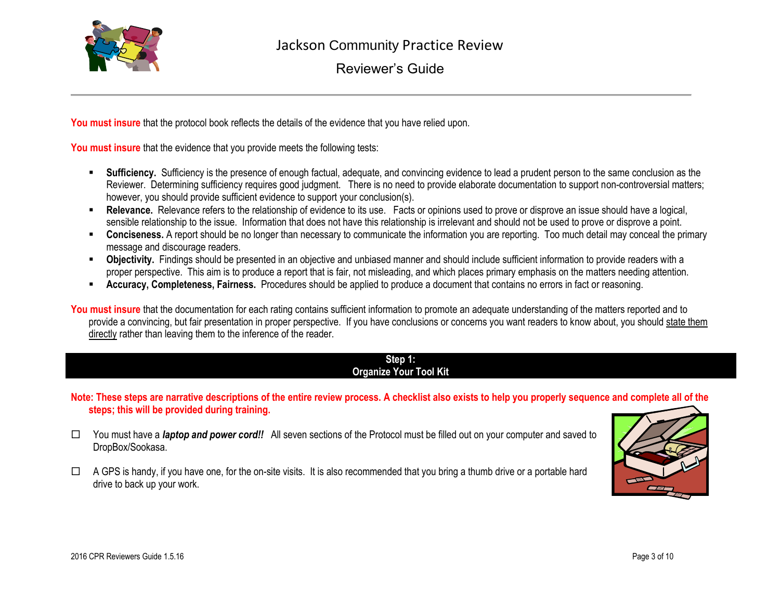

**You must insure** that the protocol book reflects the details of the evidence that you have relied upon.

You must insure that the evidence that you provide meets the following tests:

- **Sufficiency.** Sufficiency is the presence of enough factual, adequate, and convincing evidence to lead a prudent person to the same conclusion as the Reviewer. Determining sufficiency requires good judgment. There is no need to provide elaborate documentation to support non-controversial matters; however, you should provide sufficient evidence to support your conclusion(s).
- **Relevance.** Relevance refers to the relationship of evidence to its use. Facts or opinions used to prove or disprove an issue should have a logical, sensible relationship to the issue. Information that does not have this relationship is irrelevant and should not be used to prove or disprove a point.
- **Conciseness.** A report should be no longer than necessary to communicate the information you are reporting. Too much detail may conceal the primary message and discourage readers.
- **Dbjectivity.** Findings should be presented in an objective and unbiased manner and should include sufficient information to provide readers with a proper perspective. This aim is to produce a report that is fair, not misleading, and which places primary emphasis on the matters needing attention.
- **Accuracy, Completeness, Fairness.** Procedures should be applied to produce a document that contains no errors in fact or reasoning.

You must insure that the documentation for each rating contains sufficient information to promote an adequate understanding of the matters reported and to provide a convincing, but fair presentation in proper perspective. If you have conclusions or concerns you want readers to know about, you should state them directly rather than leaving them to the inference of the reader.

#### **Step 1: Organize Your Tool Kit**

**Note: These steps are narrative descriptions of the entire review process. A checklist also exists to help you properly sequence and complete all of the steps; this will be provided during training.**

- You must have a *laptop and power cord!!* All seven sections of the Protocol must be filled out on your computer and saved to DropBox/Sookasa.
- $\Box$  A GPS is handy, if you have one, for the on-site visits. It is also recommended that you bring a thumb drive or a portable hard drive to back up your work.

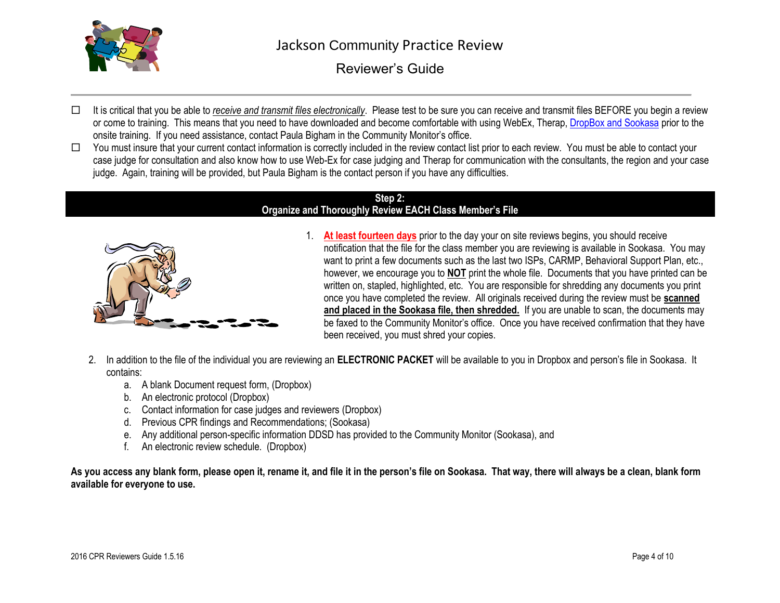

- □ It is critical that you be able to *receive and transmit files electronically*. Please test to be sure you can receive and transmit files BEFORE you begin a review or come to training. This means that you need to have downloaded and become comfortable with using WebEx, Therap, DropBox [and Sookasa](../../../../AppData/Local/2015%20CPR/2015%20Planning/Review%20Process%20and%20Training/Process%20Training%20Lab%20with%20Links/Linked%20Documents/DROPBOX%20and%20SOOKASA%20GUIDE.docx) prior to the onsite training. If you need assistance, contact Paula Bigham in the Community Monitor's office.
- $\Box$  You must insure that your current contact information is correctly included in the review contact list prior to each review. You must be able to contact your case judge for consultation and also know how to use Web-Ex for case judging and Therap for communication with the consultants, the region and your case judge. Again, training will be provided, but Paula Bigham is the contact person if you have any difficulties.

#### **Step 2: Organize and Thoroughly Review EACH Class Member's File**



- 1. **At least fourteen days** prior to the day your on site reviews begins, you should receive notification that the file for the class member you are reviewing is available in Sookasa. You may want to print a few documents such as the last two ISPs, CARMP, Behavioral Support Plan, etc., however, we encourage you to **NOT** print the whole file. Documents that you have printed can be written on, stapled, highlighted, etc. You are responsible for shredding any documents you print once you have completed the review. All originals received during the review must be **scanned and placed in the Sookasa file, then shredded.** If you are unable to scan, the documents may be faxed to the Community Monitor's office. Once you have received confirmation that they have been received, you must shred your copies.
- 2. In addition to the file of the individual you are reviewing an **ELECTRONIC PACKET** will be available to you in Dropbox and person's file in Sookasa. It contains:
	- a. A blank Document request form, (Dropbox)
	- b. An electronic protocol (Dropbox)
	- c. Contact information for case judges and reviewers (Dropbox)
	- d. Previous CPR findings and Recommendations; (Sookasa)
	- e. Any additional person-specific information DDSD has provided to the Community Monitor (Sookasa), and
	- f. An electronic review schedule. (Dropbox)

**As you access any blank form, please open it, rename it, and file it in the person's file on Sookasa. That way, there will always be a clean, blank form available for everyone to use.**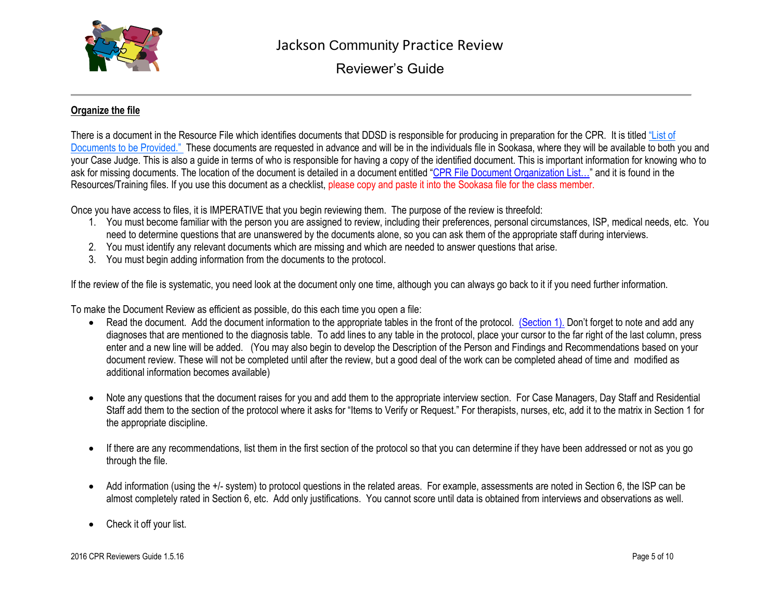

### **Organize the file**

There is a document in the Resource File which identifies documents that DDSD is responsible for producing in preparation for the CPR. It is titled "List of [Documents to be Provided."](../../../../AppData/Local/2015%20CPR/2015%20Planning/Review%20Process%20and%20Training/Process%20Training%20Lab%20with%20Links/Linked%20Documents/List%20of%20Documents%20to%20be%20Provided.docx) These documents are requested in advance and will be in the individuals file in Sookasa, where they will be available to both you and your Case Judge. This is also a guide in terms of who is responsible for having a copy of the identified document. This is important information for knowing who to ask for missing documents. The location of the document is detailed in a document entitled ["CPR File Document Organization List…"](PROTOCOL%20RESOURCES%202016/training2016/Product%20Training%20Links/CPR%20File%20Document%20Organization%20List%20FINAL%2011%209%2015.docx) and it is found in the Resources/Training files. If you use this document as a checklist, please copy and paste it into the Sookasa file for the class member.

Once you have access to files, it is IMPERATIVE that you begin reviewing them. The purpose of the review is threefold:

- 1. You must become familiar with the person you are assigned to review, including their preferences, personal circumstances, ISP, medical needs, etc. You need to determine questions that are unanswered by the documents alone, so you can ask them of the appropriate staff during interviews.
- 2. You must identify any relevant documents which are missing and which are needed to answer questions that arise.
- 3. You must begin adding information from the documents to the protocol.

If the review of the file is systematic, you need look at the document only one time, although you can always go back to it if you need further information.

To make the Document Review as efficient as possible, do this each time you open a file:

- Read the document. Add the document information to the appropriate tables in the front of the protocol. [\(Section 1\).](../../../../AppData/Local/2015%20CPR/2015%20Planning/Review%20Process%20and%20Training/Process%20Training%20Lab%20with%20Links/Linked%20Documents/#1Gen  01.16.14.doc) Don't forget to note and add any diagnoses that are mentioned to the diagnosis table. To add lines to any table in the protocol, place your cursor to the far right of the last column, press enter and a new line will be added. (You may also begin to develop the Description of the Person and Findings and Recommendations based on your document review. These will not be completed until after the review, but a good deal of the work can be completed ahead of time and modified as additional information becomes available)
- Note any questions that the document raises for you and add them to the appropriate interview section. For Case Managers, Day Staff and Residential Staff add them to the section of the protocol where it asks for "Items to Verify or Request." For therapists, nurses, etc, add it to the matrix in Section 1 for the appropriate discipline.
- If there are any recommendations, list them in the first section of the protocol so that you can determine if they have been addressed or not as you go through the file.
- Add information (using the +/- system) to protocol questions in the related areas. For example, assessments are noted in Section 6, the ISP can be almost completely rated in Section 6, etc. Add only justifications. You cannot score until data is obtained from interviews and observations as well.
- Check it off your list.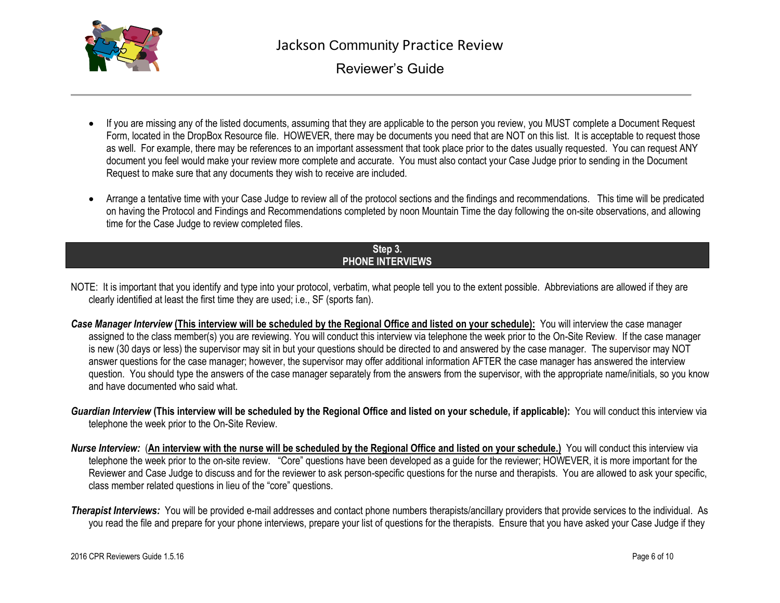

- If you are missing any of the listed documents, assuming that they are applicable to the person you review, you MUST complete a Document Request Form, located in the DropBox Resource file. HOWEVER, there may be documents you need that are NOT on this list. It is acceptable to request those as well. For example, there may be references to an important assessment that took place prior to the dates usually requested. You can request ANY document you feel would make your review more complete and accurate. You must also contact your Case Judge prior to sending in the Document Request to make sure that any documents they wish to receive are included.
- Arrange a tentative time with your Case Judge to review all of the protocol sections and the findings and recommendations. This time will be predicated on having the Protocol and Findings and Recommendations completed by noon Mountain Time the day following the on-site observations, and allowing time for the Case Judge to review completed files.

### **Step 3. PHONE INTERVIEWS**

- NOTE: It is important that you identify and type into your protocol, verbatim, what people tell you to the extent possible. Abbreviations are allowed if they are clearly identified at least the first time they are used; i.e., SF (sports fan).
- *Case Manager Interview* **(This interview will be scheduled by the Regional Office and listed on your schedule):** You will interview the case manager assigned to the class member(s) you are reviewing. You will conduct this interview via telephone the week prior to the On-Site Review. If the case manager is new (30 days or less) the supervisor may sit in but your questions should be directed to and answered by the case manager. The supervisor may NOT answer questions for the case manager; however, the supervisor may offer additional information AFTER the case manager has answered the interview question. You should type the answers of the case manager separately from the answers from the supervisor, with the appropriate name/initials, so you know and have documented who said what.
- *Guardian Interview* **(This interview will be scheduled by the Regional Office and listed on your schedule, if applicable):** You will conduct this interview via telephone the week prior to the On-Site Review.
- *Nurse Interview:* (**An interview with the nurse will be scheduled by the Regional Office and listed on your schedule.)** You will conduct this interview via telephone the week prior to the on-site review. "Core" questions have been developed as a guide for the reviewer; HOWEVER, it is more important for the Reviewer and Case Judge to discuss and for the reviewer to ask person-specific questions for the nurse and therapists. You are allowed to ask your specific, class member related questions in lieu of the "core" questions.
- *Therapist Interviews:* You will be provided e-mail addresses and contact phone numbers therapists/ancillary providers that provide services to the individual. As you read the file and prepare for your phone interviews, prepare your list of questions for the therapists. Ensure that you have asked your Case Judge if they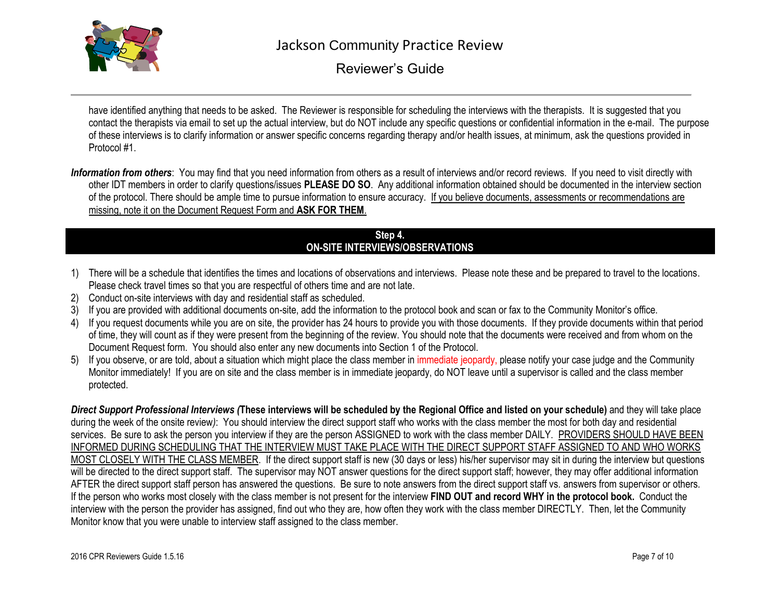

have identified anything that needs to be asked. The Reviewer is responsible for scheduling the interviews with the therapists. It is suggested that you contact the therapists via email to set up the actual interview, but do NOT include any specific questions or confidential information in the e-mail. The purpose of these interviews is to clarify information or answer specific concerns regarding therapy and/or health issues, at minimum, ask the questions provided in Protocol #1.

*Information from others*: You may find that you need information from others as a result of interviews and/or record reviews. If you need to visit directly with other IDT members in order to clarify questions/issues **PLEASE DO SO**. Any additional information obtained should be documented in the interview section of the protocol. There should be ample time to pursue information to ensure accuracy. If you believe documents, assessments or recommendations are missing, note it on the Document Request Form and **ASK FOR THEM**.

#### **Step 4. ON-SITE INTERVIEWS/OBSERVATIONS**

- 1) There will be a schedule that identifies the times and locations of observations and interviews. Please note these and be prepared to travel to the locations. Please check travel times so that you are respectful of others time and are not late.
- 2) Conduct on-site interviews with day and residential staff as scheduled.
- 3) If you are provided with additional documents on-site, add the information to the protocol book and scan or fax to the Community Monitor's office.
- 4) If you request documents while you are on site, the provider has 24 hours to provide you with those documents. If they provide documents within that period of time, they will count as if they were present from the beginning of the review. You should note that the documents were received and from whom on the Document Request form. You should also enter any new documents into Section 1 of the Protocol.
- 5) If you observe, or are told, about a situation which might place the class member in immediate jeopardy, please notify your case judge and the Community Monitor immediately! If you are on site and the class member is in immediate jeopardy, do NOT leave until a supervisor is called and the class member protected.

*Direct Support Professional Interviews (***These interviews will be scheduled by the Regional Office and listed on your schedule)** and they will take place during the week of the onsite review*)*: You should interview the direct support staff who works with the class member the most for both day and residential services. Be sure to ask the person you interview if they are the person ASSIGNED to work with the class member DAILY. PROVIDERS SHOULD HAVE BEEN INFORMED DURING SCHEDULING THAT THE INTERVIEW MUST TAKE PLACE WITH THE DIRECT SUPPORT STAFF ASSIGNED TO AND WHO WORKS MOST CLOSELY WITH THE CLASS MEMBER. If the direct support staff is new (30 days or less) his/her supervisor may sit in during the interview but questions will be directed to the direct support staff. The supervisor may NOT answer questions for the direct support staff; however, they may offer additional information AFTER the direct support staff person has answered the questions. Be sure to note answers from the direct support staff vs. answers from supervisor or others. If the person who works most closely with the class member is not present for the interview **FIND OUT and record WHY in the protocol book.** Conduct the interview with the person the provider has assigned, find out who they are, how often they work with the class member DIRECTLY. Then, let the Community Monitor know that you were unable to interview staff assigned to the class member.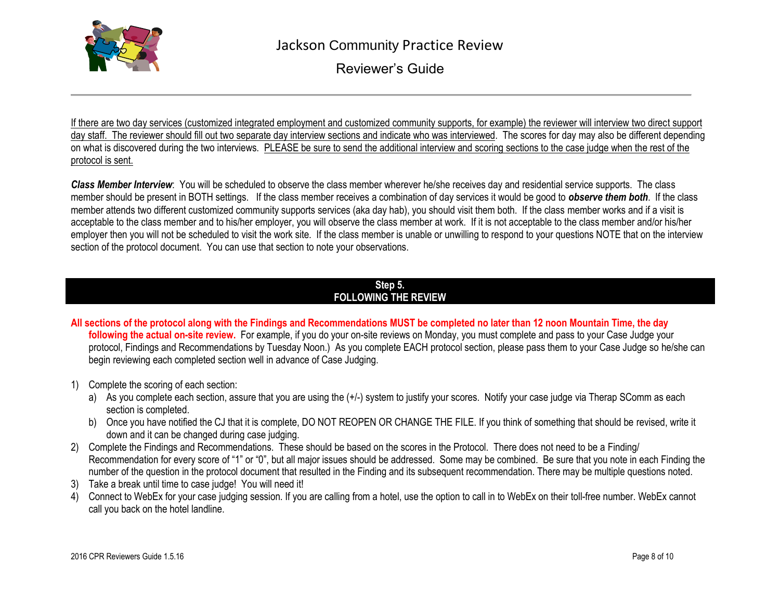

If there are two day services (customized integrated employment and customized community supports, for example) the reviewer will interview two direct support day staff. The reviewer should fill out two separate day interview sections and indicate who was interviewed. The scores for day may also be different depending on what is discovered during the two interviews. PLEASE be sure to send the additional interview and scoring sections to the case judge when the rest of the protocol is sent.

*Class Member Interview*: You will be scheduled to observe the class member wherever he/she receives day and residential service supports. The class member should be present in BOTH settings. If the class member receives a combination of day services it would be good to *observe them both*. If the class member attends two different customized community supports services (aka day hab), you should visit them both. If the class member works and if a visit is acceptable to the class member and to his/her employer, you will observe the class member at work. If it is not acceptable to the class member and/or his/her employer then you will not be scheduled to visit the work site. If the class member is unable or unwilling to respond to your questions NOTE that on the interview section of the protocol document. You can use that section to note your observations.

#### **Step 5. FOLLOWING THE REVIEW**

- **All sections of the protocol along with the Findings and Recommendations MUST be completed no later than 12 noon Mountain Time, the day following the actual on-site review.** For example, if you do your on-site reviews on Monday, you must complete and pass to your Case Judge your protocol, Findings and Recommendations by Tuesday Noon.) As you complete EACH protocol section, please pass them to your Case Judge so he/she can begin reviewing each completed section well in advance of Case Judging.
- 1) Complete the scoring of each section:
	- a) As you complete each section, assure that you are using the  $(+/-)$  system to justify your scores. Notify your case judge via Therap SComm as each section is completed.
	- b) Once you have notified the CJ that it is complete, DO NOT REOPEN OR CHANGE THE FILE. If you think of something that should be revised, write it down and it can be changed during case judging.
- 2) Complete the Findings and Recommendations. These should be based on the scores in the Protocol. There does not need to be a Finding/ Recommendation for every score of "1" or "0", but all major issues should be addressed. Some may be combined. Be sure that you note in each Finding the number of the question in the protocol document that resulted in the Finding and its subsequent recommendation. There may be multiple questions noted.
- 3) Take a break until time to case judge! You will need it!
- 4) Connect to WebEx for your case judging session. If you are calling from a hotel, use the option to call in to WebEx on their toll-free number. WebEx cannot call you back on the hotel landline.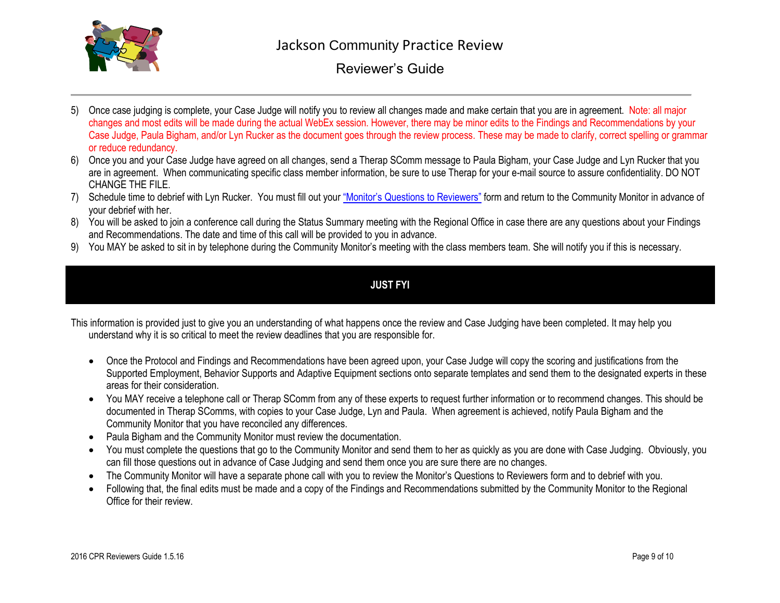

- 5) Once case judging is complete, your Case Judge will notify you to review all changes made and make certain that you are in agreement. Note: all major changes and most edits will be made during the actual WebEx session. However, there may be minor edits to the Findings and Recommendations by your Case Judge, Paula Bigham, and/or Lyn Rucker as the document goes through the review process. These may be made to clarify, correct spelling or grammar or reduce redundancy.
- 6) Once you and your Case Judge have agreed on all changes, send a Therap SComm message to Paula Bigham, your Case Judge and Lyn Rucker that you are in agreement. When communicating specific class member information, be sure to use Therap for your e-mail source to assure confidentiality. DO NOT CHANGE THE FILE.
- 7) Schedule time to debrief with Lyn Rucker. You must fill out your ["Monitor's Questions](Monitor) to Reviewers" form and return to the Community Monitor in advance of your debrief with her.
- 8) You will be asked to join a conference call during the Status Summary meeting with the Regional Office in case there are any questions about your Findings and Recommendations. The date and time of this call will be provided to you in advance.
- 9) You MAY be asked to sit in by telephone during the Community Monitor's meeting with the class members team. She will notify you if this is necessary.

## **JUST FYI**

This information is provided just to give you an understanding of what happens once the review and Case Judging have been completed. It may help you understand why it is so critical to meet the review deadlines that you are responsible for.

- Once the Protocol and Findings and Recommendations have been agreed upon, your Case Judge will copy the scoring and justifications from the Supported Employment, Behavior Supports and Adaptive Equipment sections onto separate templates and send them to the designated experts in these areas for their consideration.
- You MAY receive a telephone call or Therap SComm from any of these experts to request further information or to recommend changes. This should be documented in Therap SComms, with copies to your Case Judge, Lyn and Paula. When agreement is achieved, notify Paula Bigham and the Community Monitor that you have reconciled any differences.
- Paula Bigham and the Community Monitor must review the documentation.
- You must complete the questions that go to the Community Monitor and send them to her as quickly as you are done with Case Judging. Obviously, you can fill those questions out in advance of Case Judging and send them once you are sure there are no changes.
- The Community Monitor will have a separate phone call with you to review the Monitor's Questions to Reviewers form and to debrief with you.
- Following that, the final edits must be made and a copy of the Findings and Recommendations submitted by the Community Monitor to the Regional Office for their review.